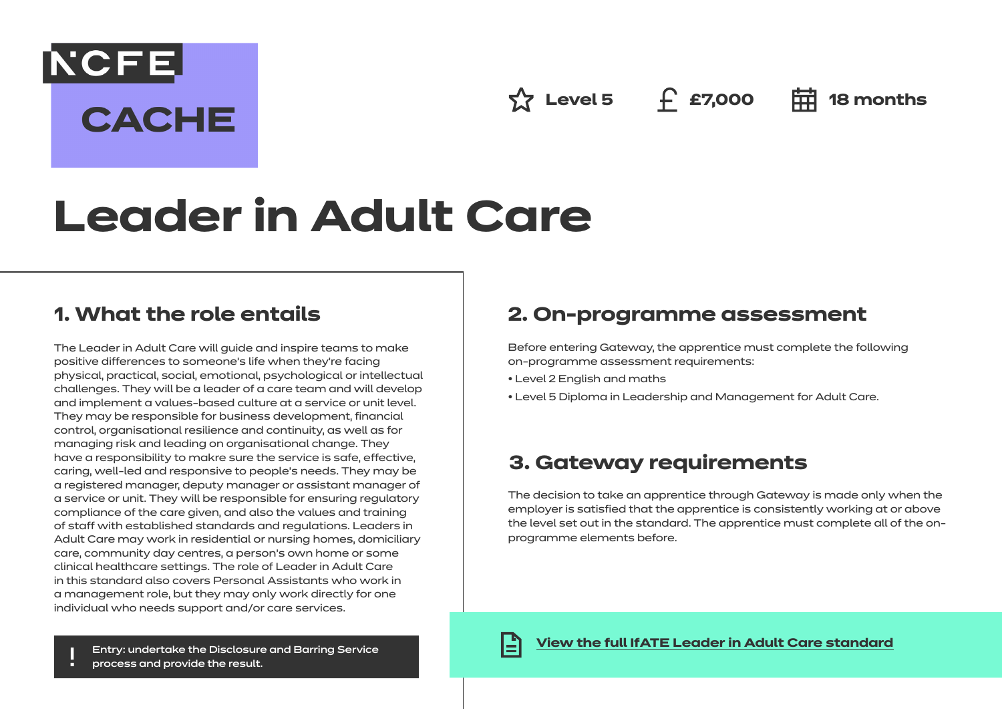**Level 5 £7,000 18 months**

# **Leader in Adult Care**

## **1. What the role entails**

[NCFE]

**CACHE** 

The Leader in Adult Care will guide and inspire teams to make positive differences to someone's life when they're facing physical, practical, social, emotional, psychological or intellectual challenges. They will be a leader of a care team and will develop and implement a values-based culture at a service or unit level. They may be responsible for business development, financial control, organisational resilience and continuity, as well as for managing risk and leading on organisational change. They have a responsibility to makre sure the service is safe, effective, caring, well-led and responsive to people's needs. They may be a registered manager, deputy manager or assistant manager of a service or unit. They will be responsible for ensuring regulatory compliance of the care given, and also the values and training of staff with established standards and regulations. Leaders in Adult Care may work in residential or nursing homes, domiciliary care, community day centres, a person's own home or some clinical healthcare settings. The role of Leader in Adult Care in this standard also covers Personal Assistants who work in a management role, but they may only work directly for one individual who needs support and/or care services.

## **2. On-programme assessment**

Before entering Gateway, the apprentice must complete the following on-programme assessment requirements:

- Level 2 English and maths
- Level 5 Diploma in Leadership and Management for Adult Care.

## **3. Gateway requirements**

The decision to take an apprentice through Gateway is made only when the employer is satisfied that the apprentice is consistently working at or above the level set out in the standard. The apprentice must complete all of the onprogramme elements before.